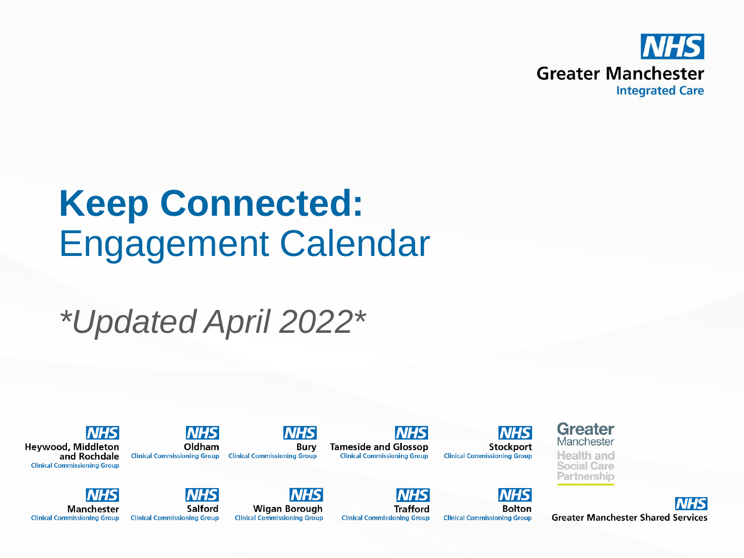

# *\*Updated April 2022\**

**NHS** 

**INHS** 

Heywood, Middleton and Rochdale **Clinical Commissioning Group** 



**Clinical Commissioning Group** 



**Bury Clinical Commissioning Group** 



**NHS Stockport Clinical Commissioning Group** 

NHS

**Bolton** 



**Health and Social Care** Partnership



**Manchester Clinical Commissioning Group Clinical Commissioning Group** 

*NHS* Salford

**NHS** Wigan Borough **Clinical Commissioning Group** 



**Clinical Commissioning Group** 

**Clinical Commissioning Group**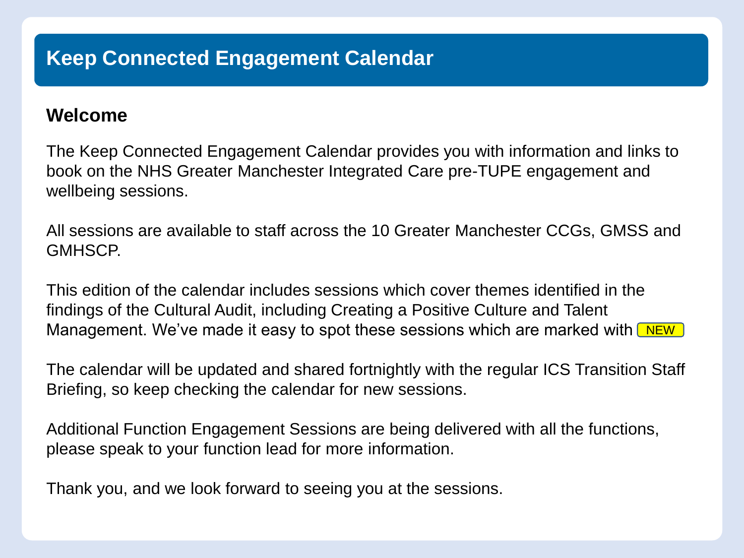### **Welcome**

The Keep Connected Engagement Calendar provides you with information and links to book on the NHS Greater Manchester Integrated Care pre-TUPE engagement and wellbeing sessions.

All sessions are available to staff across the 10 Greater Manchester CCGs, GMSS and GMHSCP.

This edition of the calendar includes sessions which cover themes identified in the findings of the Cultural Audit, including Creating a Positive Culture and Talent Management. We've made it easy to spot these sessions which are marked with LNEW

The calendar will be updated and shared fortnightly with the regular ICS Transition Staff Briefing, so keep checking the calendar for new sessions.

Additional Function Engagement Sessions are being delivered with all the functions, please speak to your function lead for more information.

Thank you, and we look forward to seeing you at the sessions.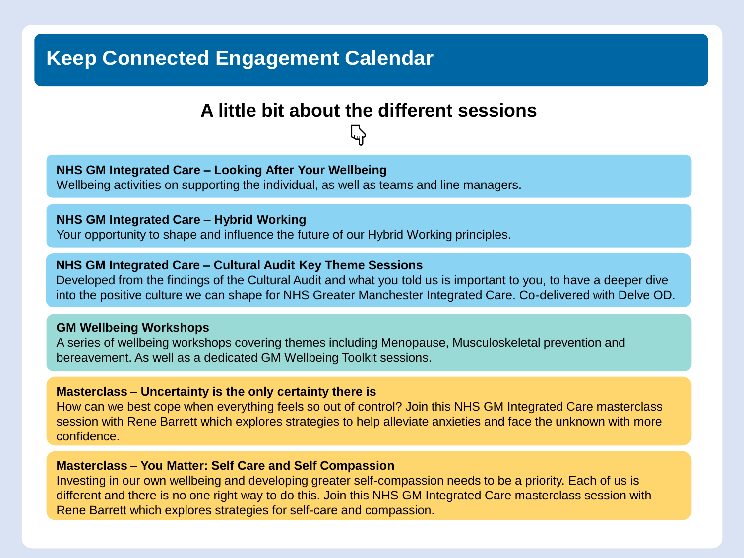# **A little bit about the different sessions**

└┰

#### **NHS GM Integrated Care – Looking After Your Wellbeing**

Wellbeing activities on supporting the individual, as well as teams and line managers.

#### **NHS GM Integrated Care – Hybrid Working**

Your opportunity to shape and influence the future of our Hybrid Working principles.

#### **NHS GM Integrated Care – Cultural Audit Key Theme Sessions**

Developed from the findings of the Cultural Audit and what you told us is important to you, to have a deeper dive<br>into the positive culture we can shape for NHS Greater Manchester Integrated Care. Co-delivered with Delve O Developed from the findings of the Cultural Audit and what you told us is important to you, to have a deeper dive

#### **GM Wellbeing Workshops**

A series of wellbeing workshops covering themes including Menopause, Musculoskeletal prevention and bereavement. As well as a dedicated GM Wellbeing Toolkit sessions.

#### **Masterclass – Uncertainty is the only certainty there is**

How can we best cope when everything feels so out of control? Join this NHS GM Integrated Care masterclass session with Rene Barrett which explores strategies to help alleviate anxieties and face the unknown with more confidence.

#### **Masterclass – You Matter: Self Care and Self Compassion**

Investing in our own wellbeing and developing greater self-compassion needs to be a priority. Each of us is different and there is no one right way to do this. Join this NHS GM Integrated Care masterclass session with Rene Barrett which explores strategies for self-care and compassion.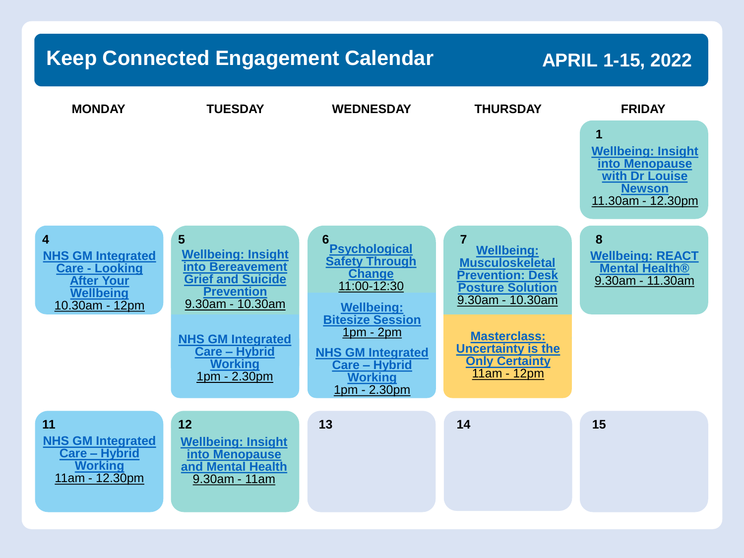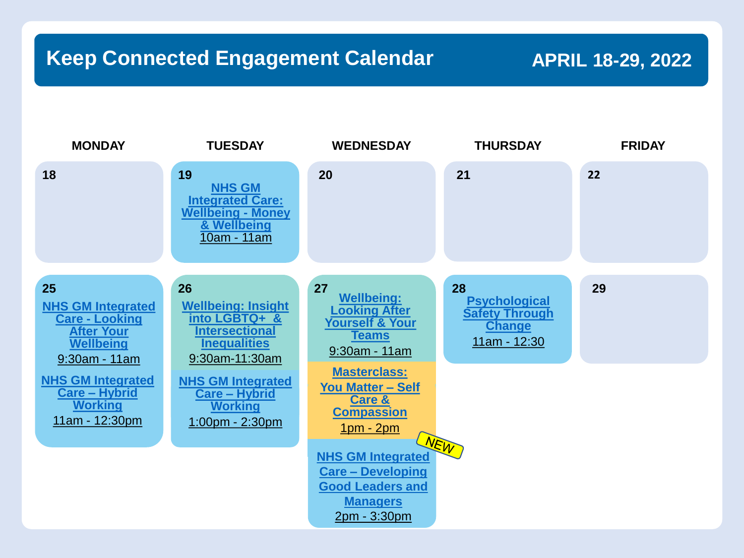#### **APRIL 18-29, 2022**

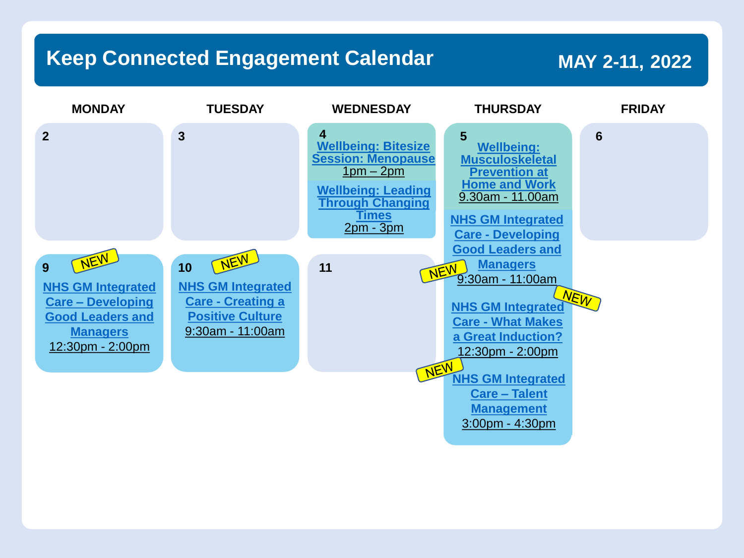### **MAY 2-11, 2022**

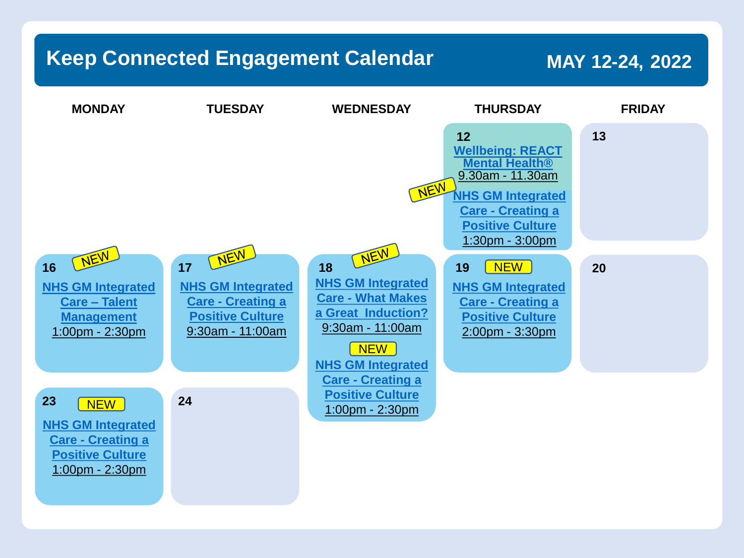#### **MAY 12-24, 2022**

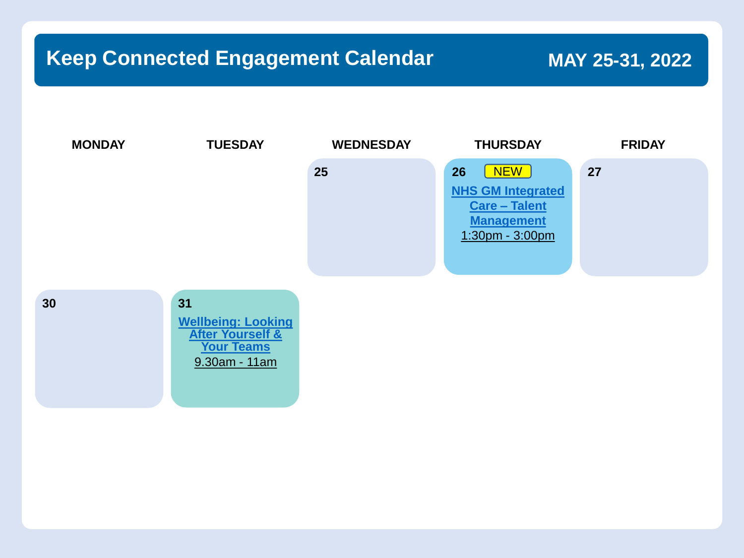### **MAY 25-31, 2022**

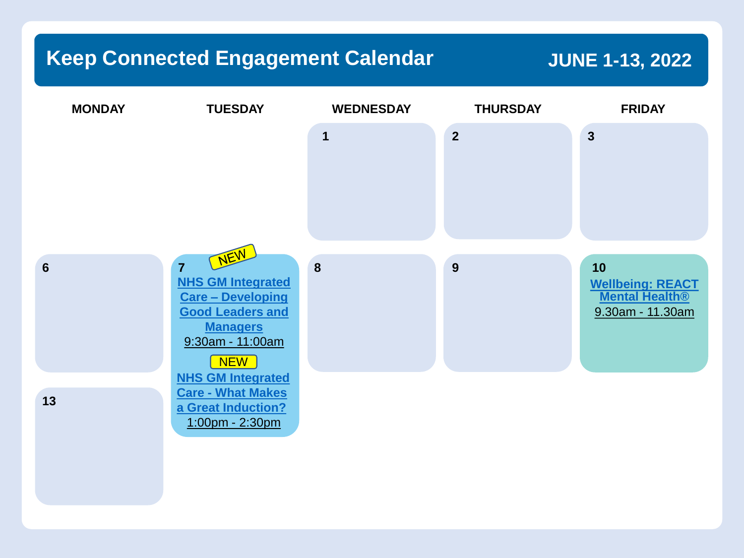#### **JUNE 1-13, 2022**

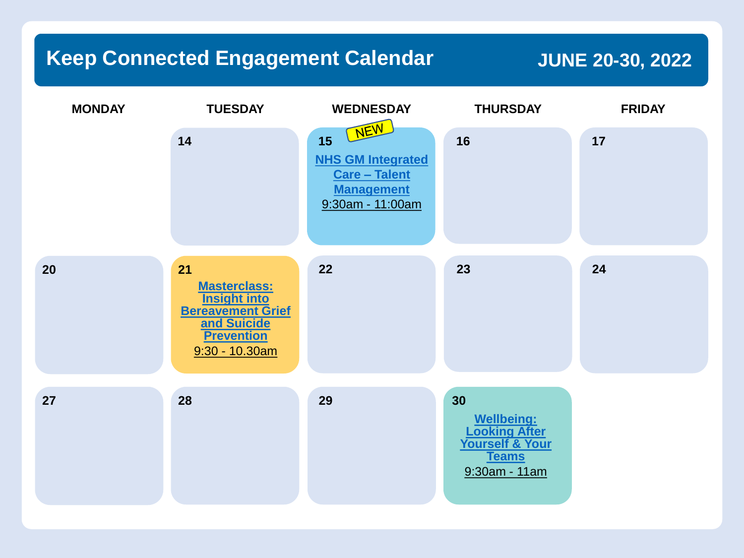#### **JUNE 20-30, 2022**